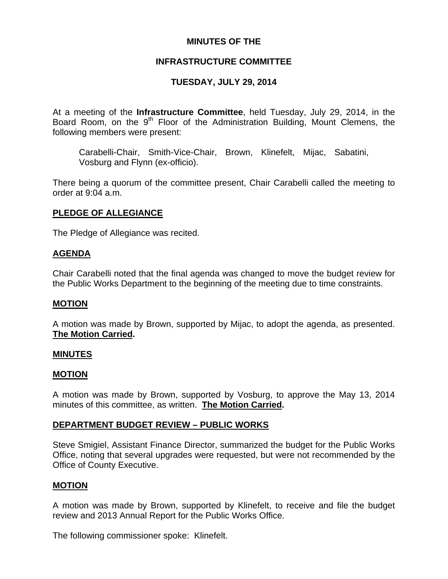## **MINUTES OF THE**

## **INFRASTRUCTURE COMMITTEE**

# **TUESDAY, JULY 29, 2014**

At a meeting of the **Infrastructure Committee**, held Tuesday, July 29, 2014, in the Board Room, on the  $9<sup>th</sup>$  Floor of the Administration Building, Mount Clemens, the following members were present:

Carabelli-Chair, Smith-Vice-Chair, Brown, Klinefelt, Mijac, Sabatini, Vosburg and Flynn (ex-officio).

There being a quorum of the committee present, Chair Carabelli called the meeting to order at 9:04 a.m.

# **PLEDGE OF ALLEGIANCE**

The Pledge of Allegiance was recited.

### **AGENDA**

Chair Carabelli noted that the final agenda was changed to move the budget review for the Public Works Department to the beginning of the meeting due to time constraints.

### **MOTION**

A motion was made by Brown, supported by Mijac, to adopt the agenda, as presented. **The Motion Carried.** 

### **MINUTES**

### **MOTION**

A motion was made by Brown, supported by Vosburg, to approve the May 13, 2014 minutes of this committee, as written. **The Motion Carried.** 

## **DEPARTMENT BUDGET REVIEW – PUBLIC WORKS**

Steve Smigiel, Assistant Finance Director, summarized the budget for the Public Works Office, noting that several upgrades were requested, but were not recommended by the Office of County Executive.

## **MOTION**

A motion was made by Brown, supported by Klinefelt, to receive and file the budget review and 2013 Annual Report for the Public Works Office.

The following commissioner spoke: Klinefelt.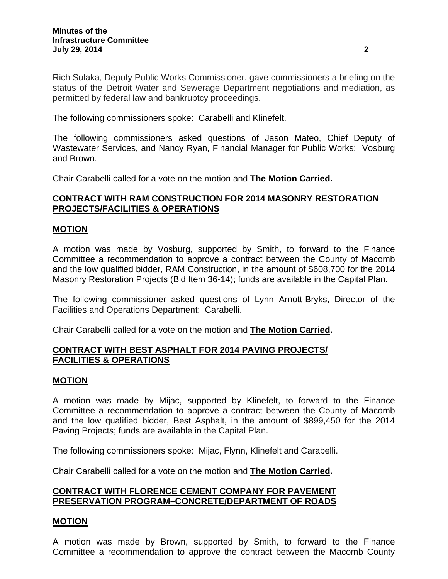Rich Sulaka, Deputy Public Works Commissioner, gave commissioners a briefing on the status of the Detroit Water and Sewerage Department negotiations and mediation, as permitted by federal law and bankruptcy proceedings.

The following commissioners spoke: Carabelli and Klinefelt.

The following commissioners asked questions of Jason Mateo, Chief Deputy of Wastewater Services, and Nancy Ryan, Financial Manager for Public Works: Vosburg and Brown.

Chair Carabelli called for a vote on the motion and **The Motion Carried.**

## **CONTRACT WITH RAM CONSTRUCTION FOR 2014 MASONRY RESTORATION PROJECTS/FACILITIES & OPERATIONS**

### **MOTION**

A motion was made by Vosburg, supported by Smith, to forward to the Finance Committee a recommendation to approve a contract between the County of Macomb and the low qualified bidder, RAM Construction, in the amount of \$608,700 for the 2014 Masonry Restoration Projects (Bid Item 36-14); funds are available in the Capital Plan.

The following commissioner asked questions of Lynn Arnott-Bryks, Director of the Facilities and Operations Department: Carabelli.

Chair Carabelli called for a vote on the motion and **The Motion Carried.**

### **CONTRACT WITH BEST ASPHALT FOR 2014 PAVING PROJECTS/ FACILITIES & OPERATIONS**

### **MOTION**

A motion was made by Mijac, supported by Klinefelt, to forward to the Finance Committee a recommendation to approve a contract between the County of Macomb and the low qualified bidder, Best Asphalt, in the amount of \$899,450 for the 2014 Paving Projects; funds are available in the Capital Plan.

The following commissioners spoke: Mijac, Flynn, Klinefelt and Carabelli.

Chair Carabelli called for a vote on the motion and **The Motion Carried.**

### **CONTRACT WITH FLORENCE CEMENT COMPANY FOR PAVEMENT PRESERVATION PROGRAM–CONCRETE/DEPARTMENT OF ROADS**

### **MOTION**

A motion was made by Brown, supported by Smith, to forward to the Finance Committee a recommendation to approve the contract between the Macomb County